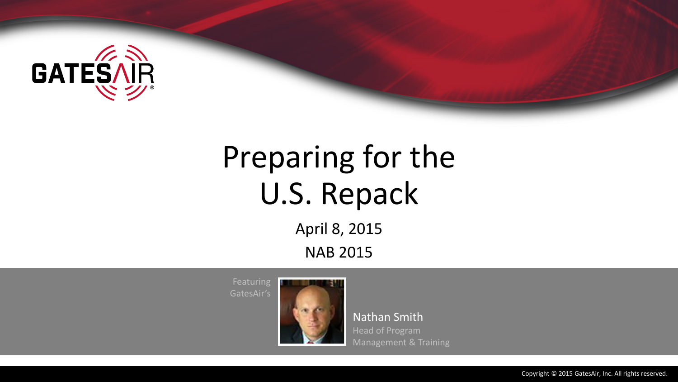

# Preparing for the U.S. Repack

April 8, 2015 NAB 2015

**Featuring** GatesAir's



Nathan Smith Head of Program Management & Training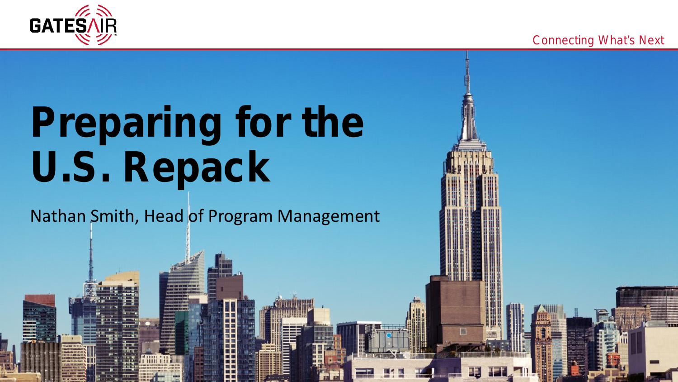

Proprietary and confidential.



Connecting What's Next

## **Preparing for the U.S. Repack**

## Nathan Smith, Head of Program Management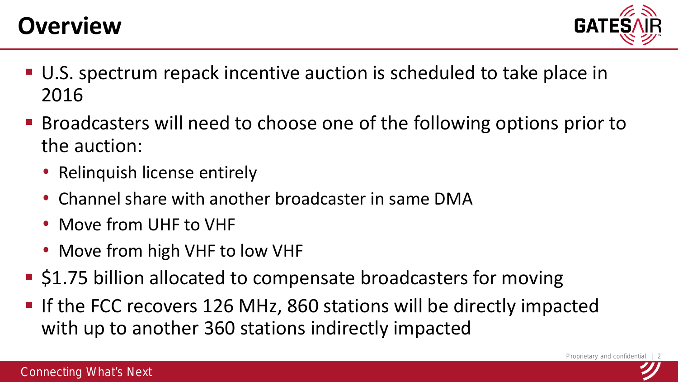

- U.S. spectrum repack incentive auction is scheduled to take place in 2016
- Broadcasters will need to choose one of the following options prior to the auction:
	- Relinquish license entirely
	- Channel share with another broadcaster in same DMA
	- Move from UHF to VHF
	- Move from high VHF to low VHF
- **S1.75 billion allocated to compensate broadcasters for moving**
- **If the FCC recovers 126 MHz, 860 stations will be directly impacted** with up to another 360 stations indirectly impacted

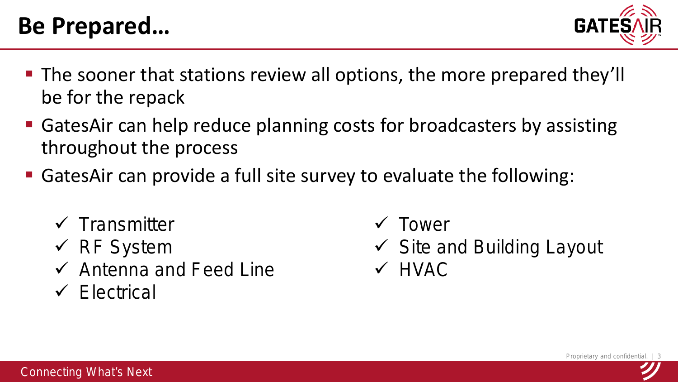

- **The sooner that stations review all options, the more prepared they'll** be for the repack
- GatesAir can help reduce planning costs for broadcasters by assisting throughout the process
- GatesAir can provide a full site survey to evaluate the following:
	- $\checkmark$  Transmitter
	- $\checkmark$  RF System
	- $\checkmark$  Antenna and Feed Line
	- $\checkmark$  Electrical
- **√** Tower
- $\checkmark$  Site and Building Layout
- $\sqrt{HVAC}$

Proprietary and confidential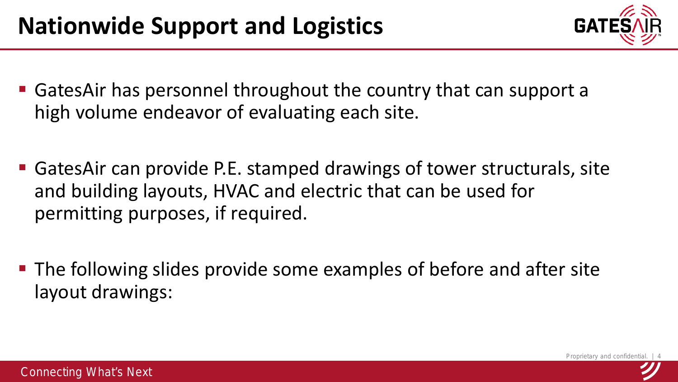

- GatesAir has personnel throughout the country that can support a high volume endeavor of evaluating each site.
- GatesAir can provide P.E. stamped drawings of tower structurals, site and building layouts, HVAC and electric that can be used for permitting purposes, if required.
- The following slides provide some examples of before and after site layout drawings: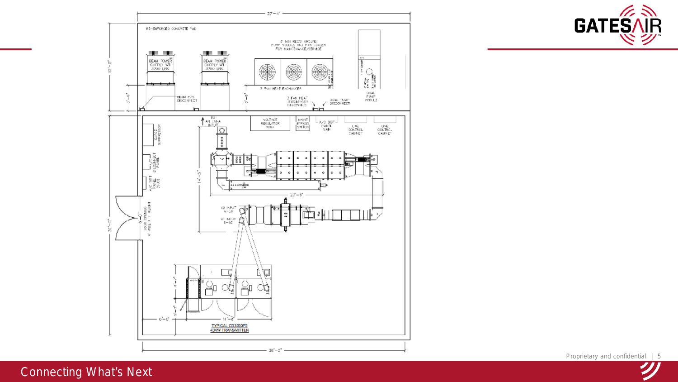

**GATE**S AR

Proprietary and confidential. | 5

#### Connecting What's Next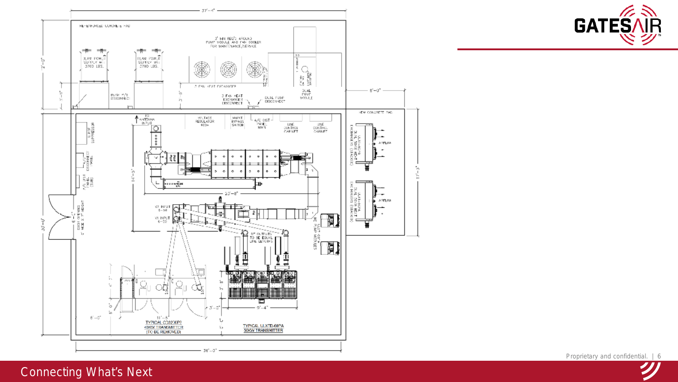

**GATE**S AR

Proprietary and confidential. | 6

### Connecting What's Next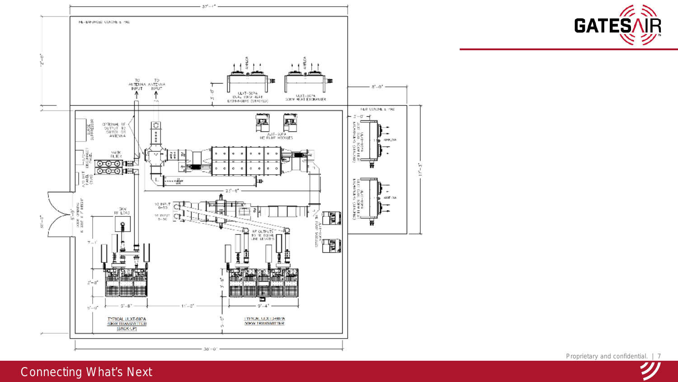

**GATE**S AR

Proprietary and confidential. | 7

Connecting What's Next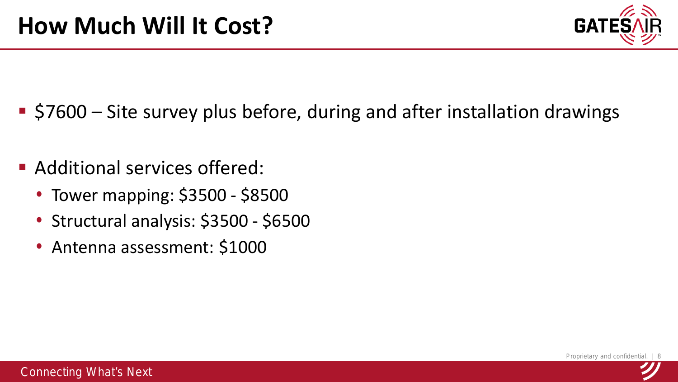

- \$7600 Site survey plus before, during and after installation drawings
- **Additional services offered:** 
	- Tower mapping: \$3500 \$8500
	- Structural analysis: \$3500 \$6500
	- Antenna assessment: \$1000

Proprietary and confidential.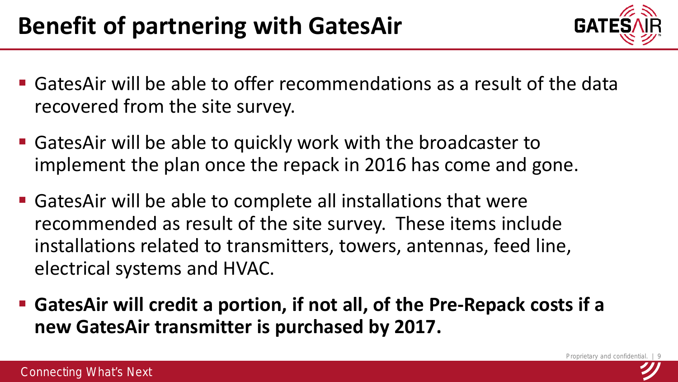

- GatesAir will be able to offer recommendations as a result of the data recovered from the site survey.
- GatesAir will be able to quickly work with the broadcaster to implement the plan once the repack in 2016 has come and gone.
- GatesAir will be able to complete all installations that were recommended as result of the site survey. These items include installations related to transmitters, towers, antennas, feed line, electrical systems and HVAC.
- **GatesAir will credit a portion, if not all, of the Pre-Repack costs if a new GatesAir transmitter is purchased by 2017.**